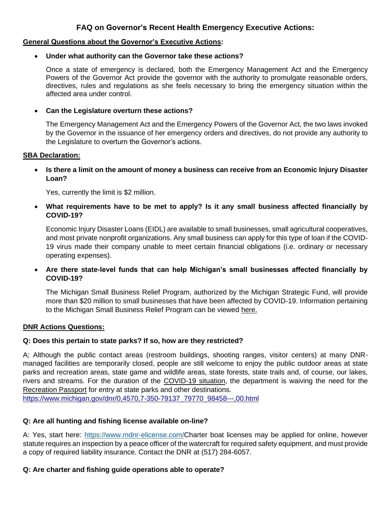# **FAQ on Governor's Recent Health Emergency Executive Actions:**

#### **General Questions about the Governor's Executive Actions:**

#### • **Under what authority can the Governor take these actions?**

Once a state of emergency is declared, both the Emergency Management Act and the Emergency Powers of the Governor Act provide the governor with the authority to promulgate reasonable orders, directives, rules and regulations as she feels necessary to bring the emergency situation within the affected area under control.

#### • **Can the Legislature overturn these actions?**

The Emergency Management Act and the Emergency Powers of the Governor Act, the two laws invoked by the Governor in the issuance of her emergency orders and directives, do not provide any authority to the Legislature to overturn the Governor's actions.

#### **SBA Declaration:**

• **Is there a limit on the amount of money a business can receive from an Economic Injury Disaster Loan?**

Yes, currently the limit is \$2 million.

• **What requirements have to be met to apply? Is it any small business affected financially by COVID-19?**

Economic Injury Disaster Loans (EIDL) are available to small businesses, small agricultural cooperatives, and most private nonprofit organizations. Any small business can apply for this type of loan if the COVID-19 virus made their company unable to meet certain financial obligations (i.e. ordinary or necessary operating expenses).

• **Are there state-level funds that can help Michigan's small businesses affected financially by COVID-19?** 

The Michigan Small Business Relief Program, authorized by the Michigan Strategic Fund, will provide more than \$20 million to small businesses that have been affected by COVID-19. Information pertaining to the Michigan Small Business Relief Program can be viewed here.

#### **DNR Actions Questions:**

#### **Q: Does this pertain to state parks? If so, how are they restricted?**

A; Although the public contact areas (restroom buildings, shooting ranges, visitor centers) at many DNRmanaged facilities are temporarily closed, people are still welcome to enjoy the public outdoor areas at state parks and recreation areas, state game and wildlife areas, state forests, state trails and, of course, our lakes, rivers and streams. For the duration of the COVID-19 situation, the department is waiving the need for the Recreation Passport for entry at state parks and other destinations. https://www.michigan.gov/dnr/0,4570,7-350-79137\_79770\_98458---,00.html

#### **Q: Are all hunting and fishing license available on-line?**

A: Yes, start here: https://www.mdnr-elicense.com/Charter boat licenses may be applied for online, however statute requires an inspection by a peace officer of the watercraft for required safety equipment, and must provide a copy of required liability insurance. Contact the DNR at (517) 284-6057.

#### **Q: Are charter and fishing guide operations able to operate?**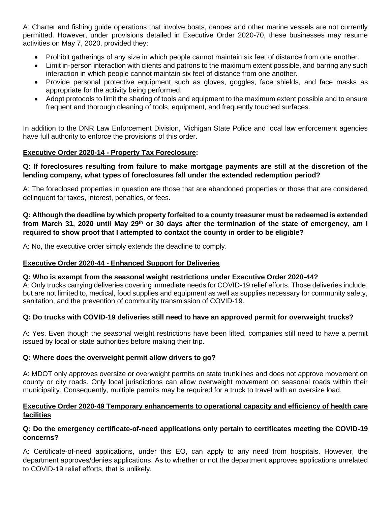A: Charter and fishing guide operations that involve boats, canoes and other marine vessels are not currently permitted. However, under provisions detailed in Executive Order 2020-70, these businesses may resume activities on May 7, 2020, provided they:

- Prohibit gatherings of any size in which people cannot maintain six feet of distance from one another.
- Limit in-person interaction with clients and patrons to the maximum extent possible, and barring any such interaction in which people cannot maintain six feet of distance from one another.
- Provide personal protective equipment such as gloves, goggles, face shields, and face masks as appropriate for the activity being performed.
- Adopt protocols to limit the sharing of tools and equipment to the maximum extent possible and to ensure frequent and thorough cleaning of tools, equipment, and frequently touched surfaces.

In addition to the DNR Law Enforcement Division, Michigan State Police and local law enforcement agencies have full authority to enforce the provisions of this order.

# **Executive Order 2020-14 - Property Tax Foreclosure:**

# **Q: If foreclosures resulting from failure to make mortgage payments are still at the discretion of the lending company, what types of foreclosures fall under the extended redemption period?**

A: The foreclosed properties in question are those that are abandoned properties or those that are considered delinquent for taxes, interest, penalties, or fees.

**Q: Although the deadline by which property forfeited to a county treasurer must be redeemed is extended from March 31, 2020 until May 29th or 30 days after the termination of the state of emergency, am I required to show proof that I attempted to contact the county in order to be eligible?** 

A: No, the executive order simply extends the deadline to comply.

# **Executive Order 2020-44 - Enhanced Support for Deliveries**

#### **Q: Who is exempt from the seasonal weight restrictions under Executive Order 2020-44?**

A: Only trucks carrying deliveries covering immediate needs for COVID-19 relief efforts. Those deliveries include, but are not limited to, medical, food supplies and equipment as well as supplies necessary for community safety, sanitation, and the prevention of community transmission of COVID-19.

#### **Q: Do trucks with COVID-19 deliveries still need to have an approved permit for overweight trucks?**

A: Yes. Even though the seasonal weight restrictions have been lifted, companies still need to have a permit issued by local or state authorities before making their trip.

#### **Q: Where does the overweight permit allow drivers to go?**

A: MDOT only approves oversize or overweight permits on state trunklines and does not approve movement on county or city roads. Only local jurisdictions can allow overweight movement on seasonal roads within their municipality. Consequently, multiple permits may be required for a truck to travel with an oversize load.

#### **Executive Order 2020-49 Temporary enhancements to operational capacity and efficiency of health care facilities**

# **Q: Do the emergency certificate-of-need applications only pertain to certificates meeting the COVID-19 concerns?**

A: Certificate-of-need applications, under this EO, can apply to any need from hospitals. However, the department approves/denies applications. As to whether or not the department approves applications unrelated to COVID-19 relief efforts, that is unlikely.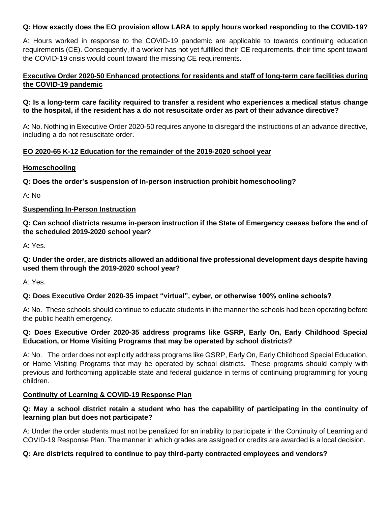## **Q: How exactly does the EO provision allow LARA to apply hours worked responding to the COVID-19?**

A: Hours worked in response to the COVID-19 pandemic are applicable to towards continuing education requirements (CE). Consequently, if a worker has not yet fulfilled their CE requirements, their time spent toward the COVID-19 crisis would count toward the missing CE requirements.

# **Executive Order 2020-50 Enhanced protections for residents and staff of long-term care facilities during the COVID-19 pandemic**

#### **Q: Is a long-term care facility required to transfer a resident who experiences a medical status change to the hospital, if the resident has a do not resuscitate order as part of their advance directive?**

A: No. Nothing in Executive Order 2020-50 requires anyone to disregard the instructions of an advance directive, including a do not resuscitate order.

# **EO 2020-65 K-12 Education for the remainder of the 2019-2020 school year**

#### **Homeschooling**

**Q: Does the order's suspension of in-person instruction prohibit homeschooling?**

A: No

# **Suspending In-Person Instruction**

**Q: Can school districts resume in-person instruction if the State of Emergency ceases before the end of the scheduled 2019-2020 school year?**

A: Yes.

# **Q: Under the order, are districts allowed an additional five professional development days despite having used them through the 2019-2020 school year?**

A: Yes.

# **Q: Does Executive Order 2020-35 impact "virtual", cyber, or otherwise 100% online schools?**

A: No. These schools should continue to educate students in the manner the schools had been operating before the public health emergency.

# **Q: Does Executive Order 2020-35 address programs like GSRP, Early On, Early Childhood Special Education, or Home Visiting Programs that may be operated by school districts?**

A: No. The order does not explicitly address programs like GSRP, Early On, Early Childhood Special Education, or Home Visiting Programs that may be operated by school districts. These programs should comply with previous and forthcoming applicable state and federal guidance in terms of continuing programming for young children.

#### **Continuity of Learning & COVID-19 Response Plan**

# **Q: May a school district retain a student who has the capability of participating in the continuity of learning plan but does not participate?**

A: Under the order students must not be penalized for an inability to participate in the Continuity of Learning and COVID-19 Response Plan. The manner in which grades are assigned or credits are awarded is a local decision.

#### **Q: Are districts required to continue to pay third-party contracted employees and vendors?**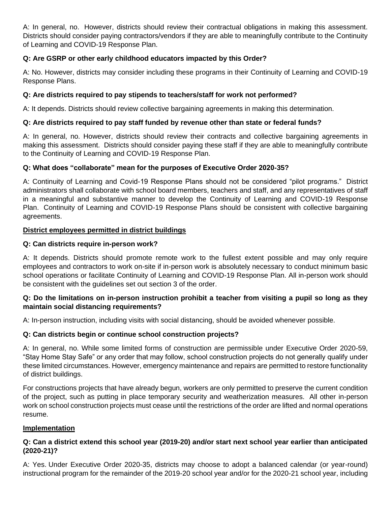A: In general, no. However, districts should review their contractual obligations in making this assessment. Districts should consider paying contractors/vendors if they are able to meaningfully contribute to the Continuity of Learning and COVID-19 Response Plan.

# **Q: Are GSRP or other early childhood educators impacted by this Order?**

A: No. However, districts may consider including these programs in their Continuity of Learning and COVID-19 Response Plans.

# **Q: Are districts required to pay stipends to teachers/staff for work not performed?**

A: It depends. Districts should review collective bargaining agreements in making this determination.

# **Q: Are districts required to pay staff funded by revenue other than state or federal funds?**

A: In general, no. However, districts should review their contracts and collective bargaining agreements in making this assessment. Districts should consider paying these staff if they are able to meaningfully contribute to the Continuity of Learning and COVID-19 Response Plan.

# **Q: What does "collaborate" mean for the purposes of Executive Order 2020-35?**

A: Continuity of Learning and Covid-19 Response Plans should not be considered "pilot programs." District administrators shall collaborate with school board members, teachers and staff, and any representatives of staff in a meaningful and substantive manner to develop the Continuity of Learning and COVID-19 Response Plan. Continuity of Learning and COVID-19 Response Plans should be consistent with collective bargaining agreements.

# **District employees permitted in district buildings**

# **Q: Can districts require in-person work?**

A: It depends. Districts should promote remote work to the fullest extent possible and may only require employees and contractors to work on-site if in-person work is absolutely necessary to conduct minimum basic school operations or facilitate Continuity of Learning and COVID-19 Response Plan. All in-person work should be consistent with the guidelines set out section 3 of the order.

# **Q: Do the limitations on in-person instruction prohibit a teacher from visiting a pupil so long as they maintain social distancing requirements?**

A: In-person instruction, including visits with social distancing, should be avoided whenever possible.

# **Q: Can districts begin or continue school construction projects?**

A: In general, no. While some limited forms of construction are permissible under Executive Order 2020-59, "Stay Home Stay Safe" or any order that may follow, school construction projects do not generally qualify under these limited circumstances. However, emergency maintenance and repairs are permitted to restore functionality of district buildings.

For constructions projects that have already begun, workers are only permitted to preserve the current condition of the project, such as putting in place temporary security and weatherization measures. All other in-person work on school construction projects must cease until the restrictions of the order are lifted and normal operations resume.

#### **Implementation**

# **Q: Can a district extend this school year (2019-20) and/or start next school year earlier than anticipated (2020-21)?**

A: Yes. Under Executive Order 2020-35, districts may choose to adopt a balanced calendar (or year-round) instructional program for the remainder of the 2019-20 school year and/or for the 2020-21 school year, including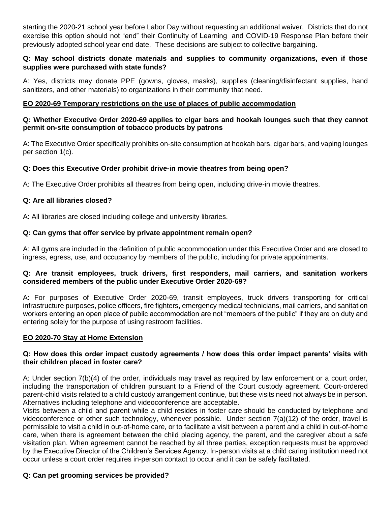starting the 2020-21 school year before Labor Day without requesting an additional waiver. Districts that do not exercise this option should not "end" their Continuity of Learning and COVID-19 Response Plan before their previously adopted school year end date. These decisions are subject to collective bargaining.

# **Q: May school districts donate materials and supplies to community organizations, even if those supplies were purchased with state funds?**

A: Yes, districts may donate PPE (gowns, gloves, masks), supplies (cleaning/disinfectant supplies, hand sanitizers, and other materials) to organizations in their community that need.

## **EO 2020-69 Temporary restrictions on the use of places of public accommodation**

#### **Q: Whether Executive Order 2020-69 applies to cigar bars and hookah lounges such that they cannot permit on-site consumption of tobacco products by patrons**

A: The Executive Order specifically prohibits on-site consumption at hookah bars, cigar bars, and vaping lounges per section 1(c).

# **Q: Does this Executive Order prohibit drive-in movie theatres from being open?**

A: The Executive Order prohibits all theatres from being open, including drive-in movie theatres.

# **Q: Are all libraries closed?**

A: All libraries are closed including college and university libraries.

# **Q: Can gyms that offer service by private appointment remain open?**

A: All gyms are included in the definition of public accommodation under this Executive Order and are closed to ingress, egress, use, and occupancy by members of the public, including for private appointments.

#### **Q: Are transit employees, truck drivers, first responders, mail carriers, and sanitation workers considered members of the public under Executive Order 2020-69?**

A: For purposes of Executive Order 2020-69, transit employees, truck drivers transporting for critical infrastructure purposes, police officers, fire fighters, emergency medical technicians, mail carriers, and sanitation workers entering an open place of public accommodation are not "members of the public" if they are on duty and entering solely for the purpose of using restroom facilities.

#### **EO 2020-70 Stay at Home Extension**

#### **Q: How does this order impact custody agreements / how does this order impact parents' visits with their children placed in foster care?**

A: Under section 7(b)(4) of the order, individuals may travel as required by law enforcement or a court order, including the transportation of children pursuant to a Friend of the Court custody agreement. Court-ordered parent-child visits related to a child custody arrangement continue, but these visits need not always be in person. Alternatives including telephone and videoconference are acceptable.

Visits between a child and parent while a child resides in foster care should be conducted by telephone and videoconference or other such technology, whenever possible. Under section 7(a)(12) of the order, travel is permissible to visit a child in out-of-home care, or to facilitate a visit between a parent and a child in out-of-home care, when there is agreement between the child placing agency, the parent, and the caregiver about a safe visitation plan. When agreement cannot be reached by all three parties, exception requests must be approved by the Executive Director of the Children's Services Agency. In-person visits at a child caring institution need not occur unless a court order requires in-person contact to occur and it can be safely facilitated.

#### **Q: Can pet grooming services be provided?**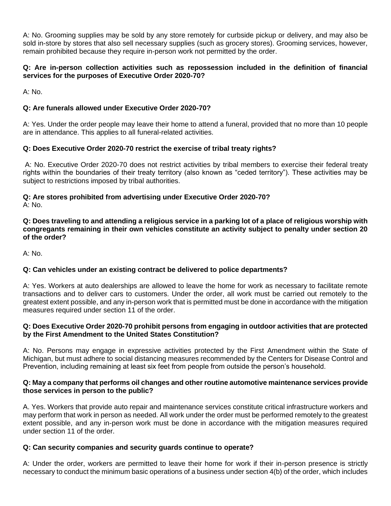A: No. Grooming supplies may be sold by any store remotely for curbside pickup or delivery, and may also be sold in-store by stores that also sell necessary supplies (such as grocery stores). Grooming services, however, remain prohibited because they require in-person work not permitted by the order.

# **Q: Are in-person collection activities such as repossession included in the definition of financial services for the purposes of Executive Order 2020-70?**

A: No.

# **Q: Are funerals allowed under Executive Order 2020-70?**

A: Yes. Under the order people may leave their home to attend a funeral, provided that no more than 10 people are in attendance. This applies to all funeral-related activities.

#### **Q: Does Executive Order 2020-70 restrict the exercise of tribal treaty rights?**

A: No. Executive Order 2020-70 does not restrict activities by tribal members to exercise their federal treaty rights within the boundaries of their treaty territory (also known as "ceded territory"). These activities may be subject to restrictions imposed by tribal authorities.

# **Q: Are stores prohibited from advertising under Executive Order 2020-70?**

A: No.

**Q: Does traveling to and attending a religious service in a parking lot of a place of religious worship with congregants remaining in their own vehicles constitute an activity subject to penalty under section 20 of the order?**

A: No.

# **Q: Can vehicles under an existing contract be delivered to police departments?**

A: Yes. Workers at auto dealerships are allowed to leave the home for work as necessary to facilitate remote transactions and to deliver cars to customers. Under the order, all work must be carried out remotely to the greatest extent possible, and any in-person work that is permitted must be done in accordance with the mitigation measures required under section 11 of the order.

#### **Q: Does Executive Order 2020-70 prohibit persons from engaging in outdoor activities that are protected by the First Amendment to the United States Constitution?**

A: No. Persons may engage in expressive activities protected by the First Amendment within the State of Michigan, but must adhere to social distancing measures recommended by the Centers for Disease Control and Prevention, including remaining at least six feet from people from outside the person's household.

#### **Q: May a company that performs oil changes and other routine automotive maintenance services provide those services in person to the public?**

A. Yes. Workers that provide auto repair and maintenance services constitute critical infrastructure workers and may perform that work in person as needed. All work under the order must be performed remotely to the greatest extent possible, and any in-person work must be done in accordance with the mitigation measures required under section 11 of the order.

#### **Q: Can security companies and security guards continue to operate?**

A: Under the order, workers are permitted to leave their home for work if their in-person presence is strictly necessary to conduct the minimum basic operations of a business under section 4(b) of the order, which includes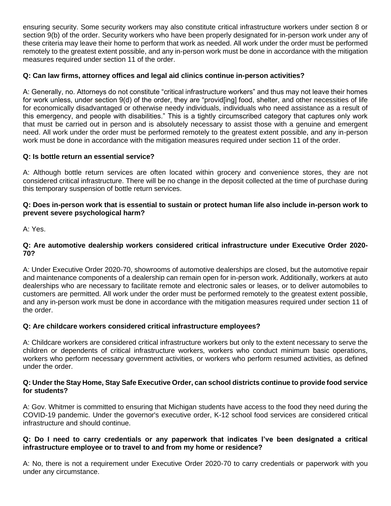ensuring security. Some security workers may also constitute critical infrastructure workers under section 8 or section 9(b) of the order. Security workers who have been properly designated for in-person work under any of these criteria may leave their home to perform that work as needed. All work under the order must be performed remotely to the greatest extent possible, and any in-person work must be done in accordance with the mitigation measures required under section 11 of the order.

# **Q: Can law firms, attorney offices and legal aid clinics continue in-person activities?**

A: Generally, no. Attorneys do not constitute "critical infrastructure workers" and thus may not leave their homes for work unless, under section 9(d) of the order, they are "provid[ing] food, shelter, and other necessities of life for economically disadvantaged or otherwise needy individuals, individuals who need assistance as a result of this emergency, and people with disabilities." This is a tightly circumscribed category that captures only work that must be carried out in person and is absolutely necessary to assist those with a genuine and emergent need. All work under the order must be performed remotely to the greatest extent possible, and any in-person work must be done in accordance with the mitigation measures required under section 11 of the order.

# **Q: Is bottle return an essential service?**

A: Although bottle return services are often located within grocery and convenience stores, they are not considered critical infrastructure. There will be no change in the deposit collected at the time of purchase during this temporary suspension of bottle return services.

# **Q: Does in-person work that is essential to sustain or protect human life also include in-person work to prevent severe psychological harm?**

A: Yes.

# **Q: Are automotive dealership workers considered critical infrastructure under Executive Order 2020- 70?**

A: Under Executive Order 2020-70, showrooms of automotive dealerships are closed, but the automotive repair and maintenance components of a dealership can remain open for in-person work. Additionally, workers at auto dealerships who are necessary to facilitate remote and electronic sales or leases, or to deliver automobiles to customers are permitted. All work under the order must be performed remotely to the greatest extent possible, and any in-person work must be done in accordance with the mitigation measures required under section 11 of the order.

# **Q: Are childcare workers considered critical infrastructure employees?**

A: Childcare workers are considered critical infrastructure workers but only to the extent necessary to serve the children or dependents of critical infrastructure workers, workers who conduct minimum basic operations, workers who perform necessary government activities, or workers who perform resumed activities, as defined under the order.

#### **Q: Under the Stay Home, Stay Safe Executive Order, can school districts continue to provide food service for students?**

A: Gov. Whitmer is committed to ensuring that Michigan students have access to the food they need during the COVID-19 pandemic. Under the governor's executive order, K-12 school food services are considered critical infrastructure and should continue.

# **Q: Do I need to carry credentials or any paperwork that indicates I've been designated a critical infrastructure employee or to travel to and from my home or residence?**

A: No, there is not a requirement under Executive Order 2020-70 to carry credentials or paperwork with you under any circumstance.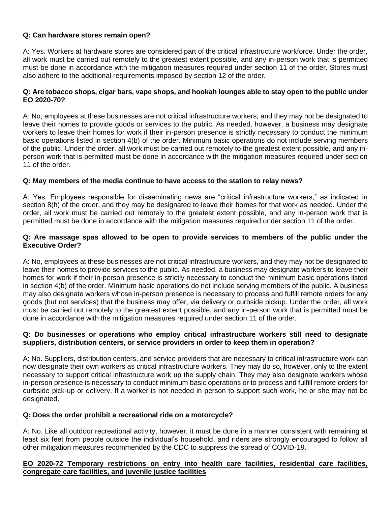# **Q: Can hardware stores remain open?**

A: Yes. Workers at hardware stores are considered part of the critical infrastructure workforce. Under the order, all work must be carried out remotely to the greatest extent possible, and any in-person work that is permitted must be done in accordance with the mitigation measures required under section 11 of the order. Stores must also adhere to the additional requirements imposed by section 12 of the order.

#### **Q: Are tobacco shops, cigar bars, vape shops, and hookah lounges able to stay open to the public under EO 2020-70?**

A: No, employees at these businesses are not critical infrastructure workers, and they may not be designated to leave their homes to provide goods or services to the public. As needed, however, a business may designate workers to leave their homes for work if their in-person presence is strictly necessary to conduct the minimum basic operations listed in section 4(b) of the order. Minimum basic operations do not include serving members of the public. Under the order, all work must be carried out remotely to the greatest extent possible, and any inperson work that is permitted must be done in accordance with the mitigation measures required under section 11 of the order.

# **Q: May members of the media continue to have access to the station to relay news?**

A: Yes. Employees responsible for disseminating news are "critical infrastructure workers," as indicated in section 8(h) of the order, and they may be designated to leave their homes for that work as needed. Under the order, all work must be carried out remotely to the greatest extent possible, and any in-person work that is permitted must be done in accordance with the mitigation measures required under section 11 of the order.

#### **Q: Are massage spas allowed to be open to provide services to members of the public under the Executive Order?**

A: No, employees at these businesses are not critical infrastructure workers, and they may not be designated to leave their homes to provide services to the public. As needed, a business may designate workers to leave their homes for work if their in-person presence is strictly necessary to conduct the minimum basic operations listed in section 4(b) of the order. Minimum basic operations do not include serving members of the public. A business may also designate workers whose in-person presence is necessary to process and fulfill remote orders for any goods (but not services) that the business may offer, via delivery or curbside pickup. Under the order, all work must be carried out remotely to the greatest extent possible, and any in-person work that is permitted must be done in accordance with the mitigation measures required under section 11 of the order.

#### **Q: Do businesses or operations who employ critical infrastructure workers still need to designate suppliers, distribution centers, or service providers in order to keep them in operation?**

A: No. Suppliers, distribution centers, and service providers that are necessary to critical infrastructure work can now designate their own workers as critical infrastructure workers. They may do so, however, only to the extent necessary to support critical infrastructure work up the supply chain. They may also designate workers whose in-person presence is necessary to conduct minimum basic operations or to process and fulfill remote orders for curbside pick-up or delivery. If a worker is not needed in person to support such work, he or she may not be designated.

#### **Q: Does the order prohibit a recreational ride on a motorcycle?**

A: No. Like all outdoor recreational activity, however, it must be done in a manner consistent with remaining at least six feet from people outside the individual's household, and riders are strongly encouraged to follow all other mitigation measures recommended by the CDC to suppress the spread of COVID-19.

#### **EO 2020-72 Temporary restrictions on entry into health care facilities, residential care facilities, congregate care facilities, and juvenile justice facilities**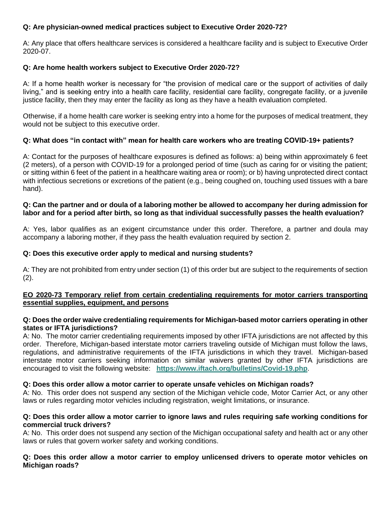# **Q: Are physician-owned medical practices subject to Executive Order 2020-72?**

A: Any place that offers healthcare services is considered a healthcare facility and is subject to Executive Order 2020-07.

## **Q: Are home health workers subject to Executive Order 2020-72?**

A: If a home health worker is necessary for "the provision of medical care or the support of activities of daily living," and is seeking entry into a health care facility, residential care facility, congregate facility, or a juvenile justice facility, then they may enter the facility as long as they have a health evaluation completed.

Otherwise, if a home health care worker is seeking entry into a home for the purposes of medical treatment, they would not be subject to this executive order.

#### **Q: What does "in contact with" mean for health care workers who are treating COVID-19+ patients?**

A: Contact for the purposes of healthcare exposures is defined as follows: a) being within approximately 6 feet (2 meters), of a person with COVID-19 for a prolonged period of time (such as caring for or visiting the patient; or sitting within 6 feet of the patient in a healthcare waiting area or room); or b) having unprotected direct contact with infectious secretions or excretions of the patient (e.g., being coughed on, touching used tissues with a bare hand).

#### **Q: Can the partner and or doula of a laboring mother be allowed to accompany her during admission for labor and for a period after birth, so long as that individual successfully passes the health evaluation?**

A: Yes, labor qualifies as an exigent circumstance under this order. Therefore, a partner and doula may accompany a laboring mother, if they pass the health evaluation required by section 2.

#### **Q: Does this executive order apply to medical and nursing students?**

A: They are not prohibited from entry under section (1) of this order but are subject to the requirements of section  $(2).$ 

#### **EO 2020-73 Temporary relief from certain credentialing requirements for motor carriers transporting essential supplies, equipment, and persons**

#### **Q: Does the order waive credentialing requirements for Michigan-based motor carriers operating in other states or IFTA jurisdictions?**

A: No. The motor carrier credentialing requirements imposed by other IFTA jurisdictions are not affected by this order. Therefore, Michigan-based interstate motor carriers traveling outside of Michigan must follow the laws, regulations, and administrative requirements of the IFTA jurisdictions in which they travel. Michigan-based interstate motor carriers seeking information on similar waivers granted by other IFTA jurisdictions are encouraged to visit the following website: **https://www.iftach.org/bulletins/Covid-19.php**.

#### **Q: Does this order allow a motor carrier to operate unsafe vehicles on Michigan roads?**

A: No. This order does not suspend any section of the Michigan vehicle code, Motor Carrier Act, or any other laws or rules regarding motor vehicles including registration, weight limitations, or insurance.

#### **Q: Does this order allow a motor carrier to ignore laws and rules requiring safe working conditions for commercial truck drivers?**

A: No. This order does not suspend any section of the Michigan occupational safety and health act or any other laws or rules that govern worker safety and working conditions.

#### **Q: Does this order allow a motor carrier to employ unlicensed drivers to operate motor vehicles on Michigan roads?**